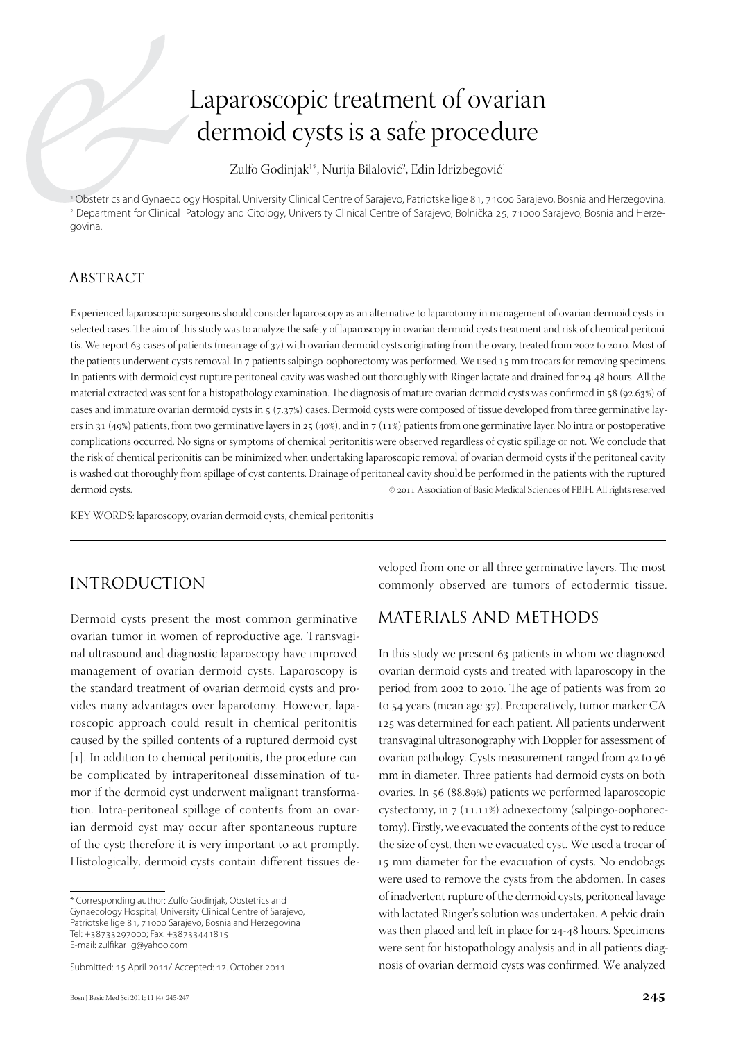# Laparoscopic treatment of ovarian dermoid cysts is a safe procedure

Zulfo Godinjak<sup>1</sup>\*, Nurija Bilalović<sup>2</sup>, Edin Idrizbegović<sup>1</sup>

1 Obstetrics and Gynaecology Hospital, University Clinical Centre of Sarajevo, Patriotske lige 81, 71000 Sarajevo, Bosnia and Herzegovina. 2 Department for Clinical Patology and Citology, University Clinical Centre of Sarajevo, Bolnička 25, 71000 Sarajevo, Bosnia and Herzegovina.

## **ABSTRACT**

Experienced laparoscopic surgeons should consider laparoscopy as an alternative to laparotomy in management of ovarian dermoid cysts in selected cases. The aim of this study was to analyze the safety of laparoscopy in ovarian dermoid cysts treatment and risk of chemical peritonitis. We report 63 cases of patients (mean age of 37) with ovarian dermoid cysts originating from the ovary, treated from 2002 to 2010. Most of the patients underwent cysts removal. In 7 patients salpingo-oophorectomy was performed. We used 15 mm trocars for removing specimens. In patients with dermoid cyst rupture peritoneal cavity was washed out thoroughly with Ringer lactate and drained for 24-48 hours. All the material extracted was sent for a histopathology examination. The diagnosis of mature ovarian dermoid cysts was confirmed in 58 (92.63%) of cases and immature ovarian dermoid cysts in 5 (7.37%) cases. Dermoid cysts were composed of tissue developed from three germinative layers in 31 (49%) patients, from two germinative layers in 25 (40%), and in  $7$  (11%) patients from one germinative layer. No intra or postoperative complications occurred. No signs or symptoms of chemical peritonitis were observed regardless of cystic spillage or not. We conclude that the risk of chemical peritonitis can be minimized when undertaking laparoscopic removal of ovarian dermoid cysts if the peritoneal cavity is washed out thoroughly from spillage of cyst contents. Drainage of peritoneal cavity should be performed in the patients with the ruptured dermoid cysts. © 2011 Association of Basic Medical Sciences of FBIH. All rights reserved

KEY WORDS: laparoscopy, ovarian dermoid cysts, chemical peritonitis

# Introduction

Dermoid cysts present the most common germinative ovarian tumor in women of reproductive age. Transvaginal ultrasound and diagnostic laparoscopy have improved management of ovarian dermoid cysts. Laparoscopy is the standard treatment of ovarian dermoid cysts and provides many advantages over laparotomy. However, laparoscopic approach could result in chemical peritonitis caused by the spilled contents of a ruptured dermoid cyst [1]. In addition to chemical peritonitis, the procedure can be complicated by intraperitoneal dissemination of tumor if the dermoid cyst underwent malignant transformation. Intra-peritoneal spillage of contents from an ovarian dermoid cyst may occur after spontaneous rupture of the cyst; therefore it is very important to act promptly. Histologically, dermoid cysts contain different tissues de-

Submitted: 15 April 2011/ Accepted: 12. October 2011

veloped from one or all three germinative layers. The most commonly observed are tumors of ectodermic tissue.

### Materials and methods

In this study we present 63 patients in whom we diagnosed ovarian dermoid cysts and treated with laparoscopy in the period from 2002 to 2010. The age of patients was from 20 to 54 years (mean age 37). Preoperatively, tumor marker CA 125 was determined for each patient. All patients underwent transvaginal ultrasonography with Doppler for assessment of ovarian pathology. Cysts measurement ranged from 42 to 96 mm in diameter. Three patients had dermoid cysts on both ovaries. In 56 (88.89%) patients we performed laparoscopic cystectomy, in 7 (11.11%) adnexectomy (salpingo-oophorectomy). Firstly, we evacuated the contents of the cyst to reduce the size of cyst, then we evacuated cyst. We used a trocar of 15 mm diameter for the evacuation of cysts. No endobags were used to remove the cysts from the abdomen. In cases of inadvertent rupture of the dermoid cysts, peritoneal lavage with lactated Ringer's solution was undertaken. A pelvic drain was then placed and left in place for 24-48 hours. Specimens were sent for histopathology analysis and in all patients diagnosis of ovarian dermoid cysts was confirmed. We analyzed

<sup>\*</sup> Corresponding author: Zulfo Godinjak, Obstetrics and Gynaecology Hospital, University Clinical Centre of Sarajevo, Patriotske lige 81, 71000 Sarajevo, Bosnia and Herzegovina Tel: +38733297000; Fax: +38733441815 E-mail: zulfikar\_g@yahoo.com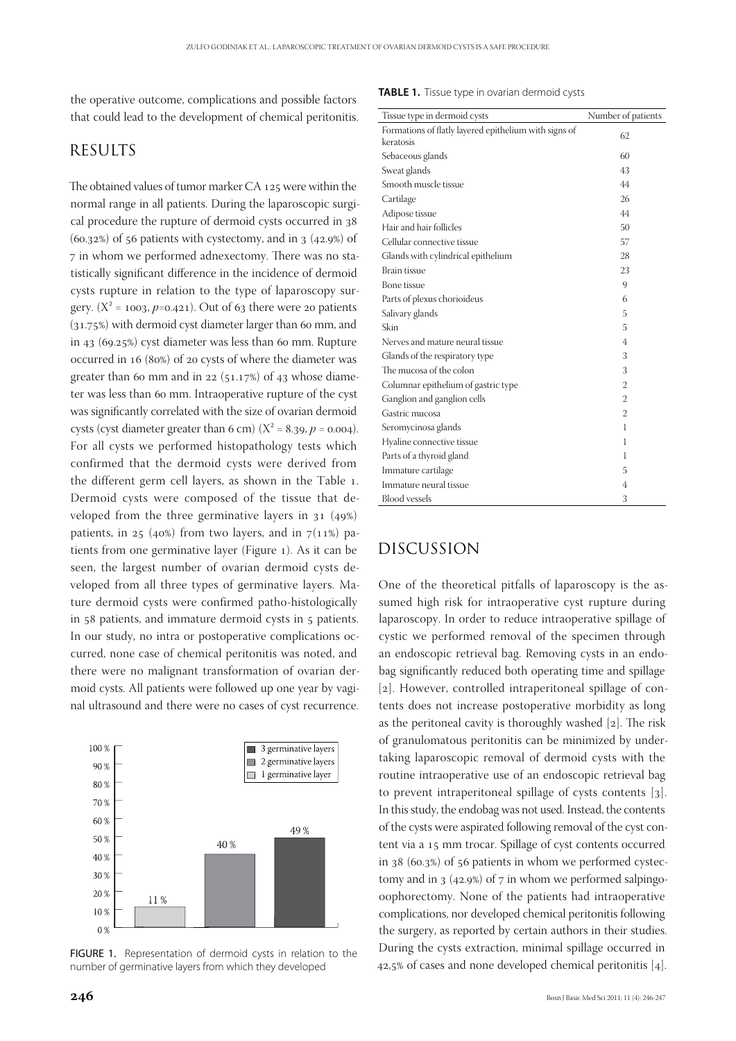the operative outcome, complications and possible factors that could lead to the development of chemical peritonitis.

#### **RESULTS**

The obtained values of tumor marker CA 125 were within the normal range in all patients. During the laparoscopic surgical procedure the rupture of dermoid cysts occurred in 38  $(60.32%)$  of 56 patients with cystectomy, and in 3  $(42.9%)$  of 7 in whom we performed adnexectomy. There was no statistically significant difference in the incidence of dermoid cysts rupture in relation to the type of laparoscopy surgery.  $(X^2 = 1003, p=0.421)$ . Out of 63 there were 20 patients (31.75%) with dermoid cyst diameter larger than 60 mm, and in 43 (69.25%) cyst diameter was less than 60 mm. Rupture occurred in 16 (80%) of 20 cysts of where the diameter was greater than 60 mm and in 22 ( $51.17%$ ) of 43 whose diameter was less than 60 mm. Intraoperative rupture of the cyst was significantly correlated with the size of ovarian dermoid cysts (cyst diameter greater than 6 cm)  $(X^2 = 8.39, p = 0.004)$ . For all cysts we performed histopathology tests which confirmed that the dermoid cysts were derived from the different germ cell layers, as shown in the Table 1. Dermoid cysts were composed of the tissue that developed from the three germinative layers in 31 (49%) patients, in 25 (40%) from two layers, and in  $7(11%)$  patients from one germinative layer (Figure 1). As it can be seen, the largest number of ovarian dermoid cysts developed from all three types of germinative layers. Mature dermoid cysts were confirmed patho-histologically in 58 patients, and immature dermoid cysts in 5 patients. In our study, no intra or postoperative complications occurred, none case of chemical peritonitis was noted, and there were no malignant transformation of ovarian dermoid cysts. All patients were followed up one year by vaginal ultrasound and there were no cases of cyst recurrence.



FIGURE 1. Representation of dermoid cysts in relation to the number of germinative layers from which they developed

#### **TABLE 1.** Tissue type in ovarian dermoid cysts

| Tissue type in dermoid cysts                                       | Number of patients |
|--------------------------------------------------------------------|--------------------|
| Formations of flatly layered epithelium with signs of<br>keratosis | 62                 |
| Sebaceous glands                                                   | 60                 |
| Sweat glands                                                       | 43                 |
| Smooth muscle tissue                                               | 44                 |
| Cartilage                                                          | 26                 |
| Adipose tissue                                                     | 44                 |
| Hair and hair follicles                                            | 50                 |
| Cellular connective tissue                                         | 57                 |
| Glands with cylindrical epithelium                                 | 28                 |
| <b>Brain tissue</b>                                                | 23                 |
| <b>Bone</b> tissue                                                 | 9                  |
| Parts of plexus chorioideus                                        | 6                  |
| Salivary glands                                                    | 5                  |
| Skin                                                               | 5                  |
| Nerves and mature neural tissue                                    | 4                  |
| Glands of the respiratory type                                     | 3                  |
| The mucosa of the colon                                            | 3                  |
| Columnar epithelium of gastric type                                | $\overline{2}$     |
| Ganglion and ganglion cells                                        | $\overline{2}$     |
| Gastric mucosa                                                     | $\overline{2}$     |
| Seromycinosa glands                                                | 1                  |
| Hyaline connective tissue                                          | 1                  |
| Parts of a thyroid gland                                           | 1                  |
| Immature cartilage                                                 | 5                  |
| Immature neural tissue                                             | 4                  |
| <b>Blood</b> vessels                                               | 3                  |

#### Discussion

One of the theoretical pitfalls of laparoscopy is the assumed high risk for intraoperative cyst rupture during laparoscopy. In order to reduce intraoperative spillage of cystic we performed removal of the specimen through an endoscopic retrieval bag. Removing cysts in an endobag significantly reduced both operating time and spillage [2]. However, controlled intraperitoneal spillage of contents does not increase postoperative morbidity as long as the peritoneal cavity is thoroughly washed [2]. The risk of granulomatous peritonitis can be minimized by undertaking laparoscopic removal of dermoid cysts with the routine intraoperative use of an endoscopic retrieval bag to prevent intraperitoneal spillage of cysts contents [3]. In this study, the endobag was not used. Instead, the contents of the cysts were aspirated following removal of the cyst content via a 15 mm trocar. Spillage of cyst contents occurred in 38 (60.3%) of 56 patients in whom we performed cystectomy and in  $3 \times (42.9\%)$  of  $7 \text{ in whom we performed salpingo-}$ oophorectomy. None of the patients had intraoperative complications, nor developed chemical peritonitis following the surgery, as reported by certain authors in their studies. During the cysts extraction, minimal spillage occurred in 42,5% of cases and none developed chemical peritonitis [4].